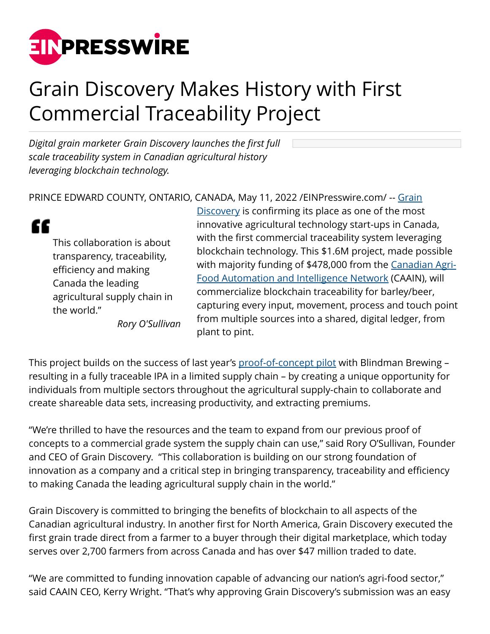

## Grain Discovery Makes History with First Commercial Traceability Project

*Digital grain marketer Grain Discovery launches the first full scale traceability system in Canadian agricultural history leveraging blockchain technology.*

## PRINCE EDWARD COUNTY, ONTARIO, CANADA, May 11, 2022 / [EINPresswire.com](http://www.einpresswire.com)/ -- [Grain](http://www.graindiscovery.com)

This collaboration is about transparency, traceability, efficiency and making Canada the leading agricultural supply chain in the world."

"

*Rory O'Sullivan*

**[Discovery](http://www.graindiscovery.com) is confirming its place as one of the most** innovative agricultural technology start-ups in Canada, with the first commercial traceability system leveraging blockchain technology. This \$1.6M project, made possible with majority funding of \$478,000 from the [Canadian Agri-](http://www.caain.ca)[Food Automation and Intelligence Network](http://www.caain.ca) (CAAIN), will commercialize blockchain traceability for barley/beer, capturing every input, movement, process and touch point from multiple sources into a shared, digital ledger, from plant to pint.

This project builds on the success of last year's [proof-of-concept pilot](https://graindiscovery.com/work) with Blindman Brewing – resulting in a fully traceable IPA in a limited supply chain – by creating a unique opportunity for individuals from multiple sectors throughout the agricultural supply-chain to collaborate and create shareable data sets, increasing productivity, and extracting premiums.

"We're thrilled to have the resources and the team to expand from our previous proof of concepts to a commercial grade system the supply chain can use," said Rory O'Sullivan, Founder and CEO of Grain Discovery. "This collaboration is building on our strong foundation of innovation as a company and a critical step in bringing transparency, traceability and efficiency to making Canada the leading agricultural supply chain in the world."

Grain Discovery is committed to bringing the benefits of blockchain to all aspects of the Canadian agricultural industry. In another first for North America, Grain Discovery executed the first grain trade direct from a farmer to a buyer through their digital marketplace, which today serves over 2,700 farmers from across Canada and has over \$47 million traded to date.

"We are committed to funding innovation capable of advancing our nation's agri-food sector," said CAAIN CEO, Kerry Wright. "That's why approving Grain Discovery's submission was an easy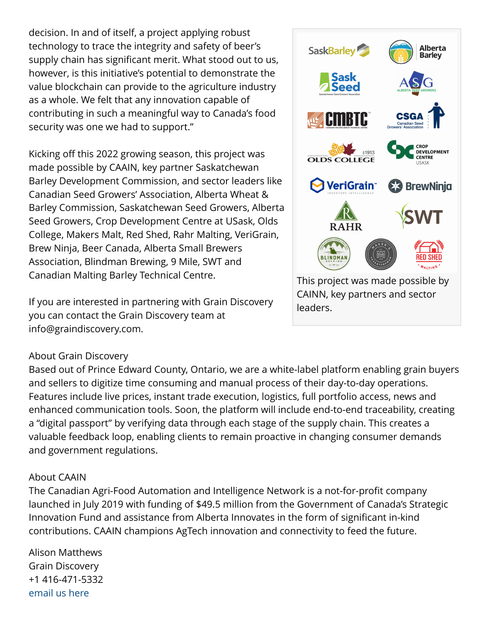decision. In and of itself, a project applying robust technology to trace the integrity and safety of beer's supply chain has significant merit. What stood out to us, however, is this initiative's potential to demonstrate the value blockchain can provide to the agriculture industry as a whole. We felt that any innovation capable of contributing in such a meaningful way to Canada's food security was one we had to support."

Kicking off this 2022 growing season, this project was made possible by CAAIN, key partner Saskatchewan Barley Development Commission, and sector leaders like Canadian Seed Growers' Association, Alberta Wheat & Barley Commission, Saskatchewan Seed Growers, Alberta Seed Growers, Crop Development Centre at USask, Olds College, Makers Malt, Red Shed, Rahr Malting, VeriGrain, Brew Ninja, Beer Canada, Alberta Small Brewers Association, Blindman Brewing, 9 Mile, SWT and Canadian Malting Barley Technical Centre.

If you are interested in partnering with Grain Discovery you can contact the Grain Discovery team at info@graindiscovery.com.

## About Grain Discovery

Based out of Prince Edward County, Ontario, we are a white-label platform enabling grain buyers and sellers to digitize time consuming and manual process of their day-to-day operations. Features include live prices, instant trade execution, logistics, full portfolio access, news and enhanced communication tools. Soon, the platform will include end-to-end traceability, creating a "digital passport" by verifying data through each stage of the supply chain. This creates a valuable feedback loop, enabling clients to remain proactive in changing consumer demands and government regulations.

## About CAAIN

The Canadian Agri-Food Automation and Intelligence Network is a not-for-profit company launched in July 2019 with funding of \$49.5 million from the Government of Canada's Strategic Innovation Fund and assistance from Alberta Innovates in the form of significant in-kind contributions. CAAIN champions AgTech innovation and connectivity to feed the future.

Alison Matthews Grain Discovery +1 416-471-5332 [email us here](http://www.einpresswire.com/contact_author/3481414)